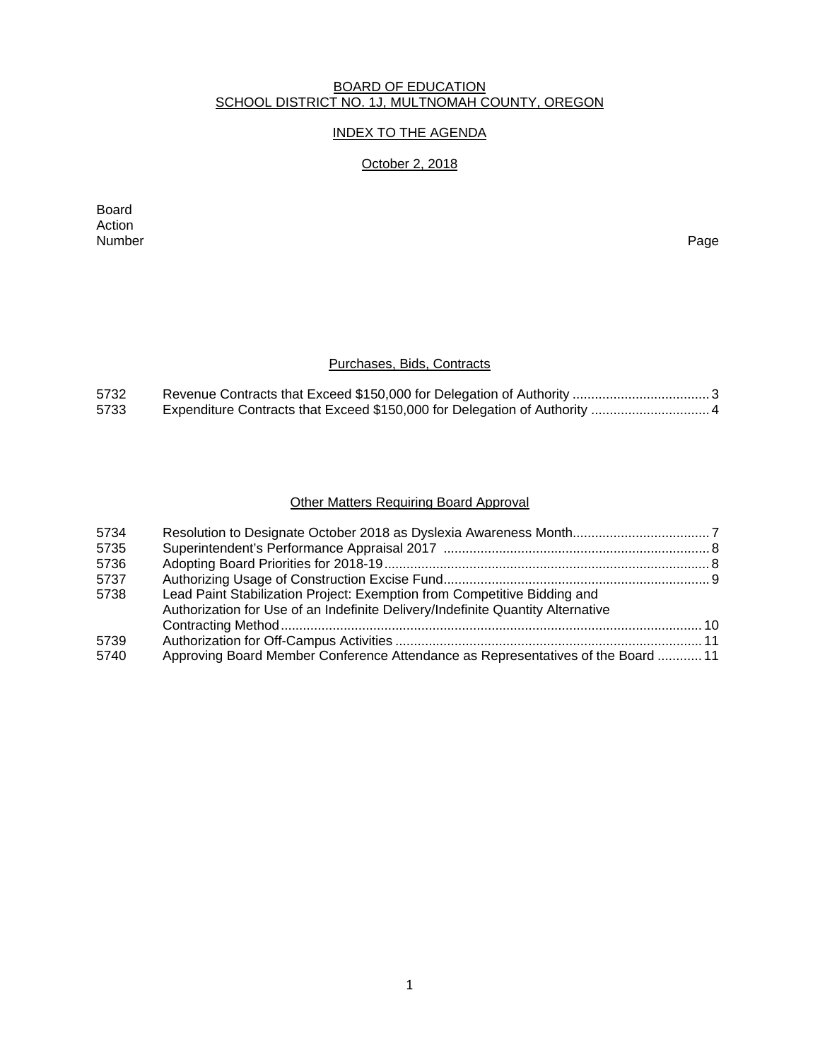#### BOARD OF EDUCATION SCHOOL DISTRICT NO. 1J, MULTNOMAH COUNTY, OREGON

## INDEX TO THE AGENDA

## October 2, 2018

Board Action<br>Number Number Page

## Purchases, Bids, Contracts

| 5732 |  |
|------|--|
| 5733 |  |

## Other Matters Requiring Board Approval

| 5734 |                                                                                                                                                             |  |
|------|-------------------------------------------------------------------------------------------------------------------------------------------------------------|--|
| 5735 |                                                                                                                                                             |  |
| 5736 |                                                                                                                                                             |  |
| 5737 |                                                                                                                                                             |  |
| 5738 | Lead Paint Stabilization Project: Exemption from Competitive Bidding and<br>Authorization for Use of an Indefinite Delivery/Indefinite Quantity Alternative |  |
|      |                                                                                                                                                             |  |
| 5739 |                                                                                                                                                             |  |
| 5740 | Approving Board Member Conference Attendance as Representatives of the Board  11                                                                            |  |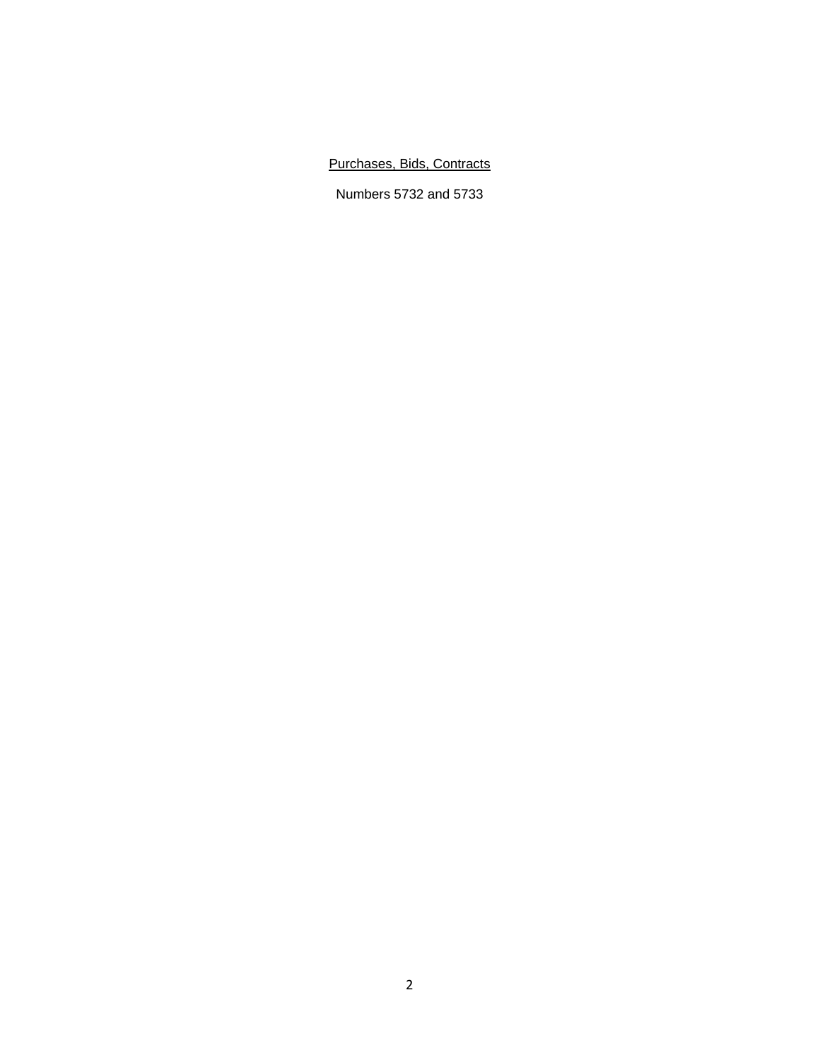## Purchases, Bids, Contracts

Numbers 5732 and 5733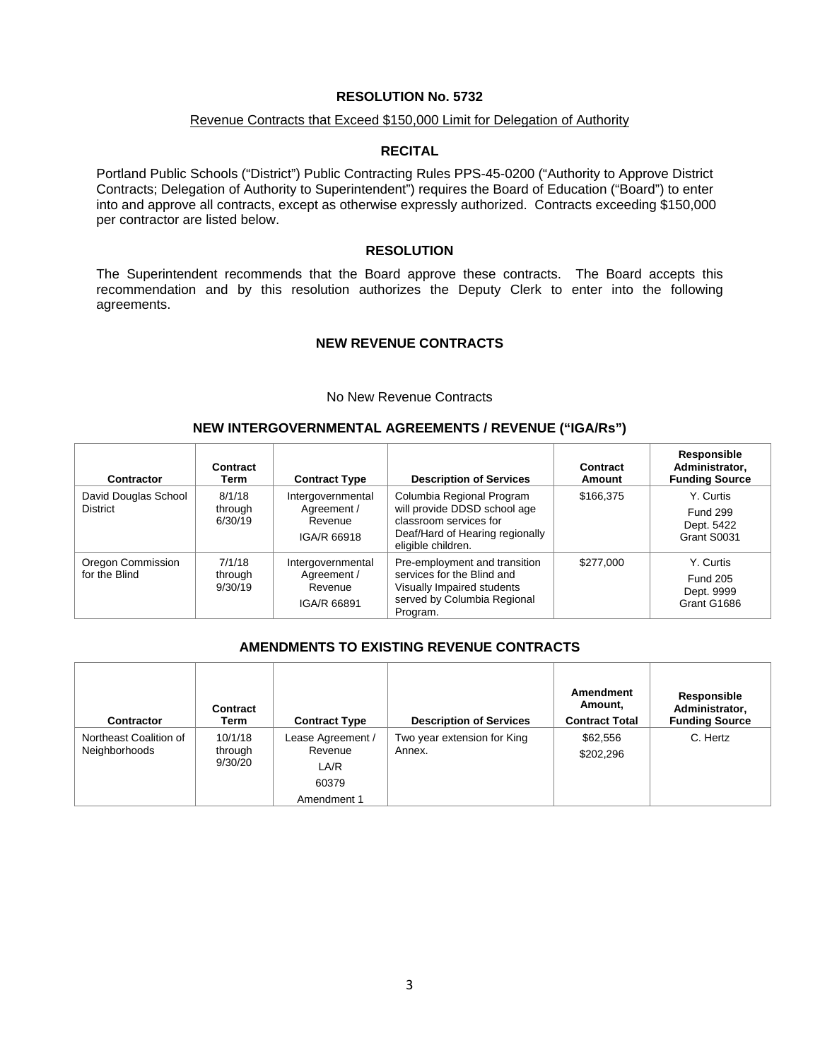## Revenue Contracts that Exceed \$150,000 Limit for Delegation of Authority

#### **RECITAL**

Portland Public Schools ("District") Public Contracting Rules PPS-45-0200 ("Authority to Approve District Contracts; Delegation of Authority to Superintendent") requires the Board of Education ("Board") to enter into and approve all contracts, except as otherwise expressly authorized. Contracts exceeding \$150,000 per contractor are listed below.

#### **RESOLUTION**

The Superintendent recommends that the Board approve these contracts. The Board accepts this recommendation and by this resolution authorizes the Deputy Clerk to enter into the following agreements.

## **NEW REVENUE CONTRACTS**

#### No New Revenue Contracts

#### **NEW INTERGOVERNMENTAL AGREEMENTS / REVENUE ("IGA/Rs")**

| Contractor                              | Contract<br>Term             | <b>Contract Type</b>                                       | <b>Description of Services</b>                                                                                                               | Contract<br>Amount | Responsible<br>Administrator,<br><b>Funding Source</b>    |
|-----------------------------------------|------------------------------|------------------------------------------------------------|----------------------------------------------------------------------------------------------------------------------------------------------|--------------------|-----------------------------------------------------------|
| David Douglas School<br><b>District</b> | 8/1/18<br>through<br>6/30/19 | Intergovernmental<br>Agreement /<br>Revenue<br>IGA/R 66918 | Columbia Regional Program<br>will provide DDSD school age<br>classroom services for<br>Deaf/Hard of Hearing regionally<br>eligible children. | \$166,375          | Y. Curtis<br><b>Fund 299</b><br>Dept. 5422<br>Grant S0031 |
| Oregon Commission<br>for the Blind      | 7/1/18<br>through<br>9/30/19 | Intergovernmental<br>Agreement /<br>Revenue<br>IGA/R 66891 | Pre-employment and transition<br>services for the Blind and<br>Visually Impaired students<br>served by Columbia Regional<br>Program.         | \$277,000          | Y. Curtis<br><b>Fund 205</b><br>Dept. 9999<br>Grant G1686 |

## **AMENDMENTS TO EXISTING REVENUE CONTRACTS**

| <b>Contractor</b>                       | <b>Contract</b><br>Term       | <b>Contract Type</b>                                         | <b>Description of Services</b>        | Amendment<br>Amount,<br><b>Contract Total</b> | Responsible<br>Administrator,<br><b>Funding Source</b> |
|-----------------------------------------|-------------------------------|--------------------------------------------------------------|---------------------------------------|-----------------------------------------------|--------------------------------------------------------|
| Northeast Coalition of<br>Neighborhoods | 10/1/18<br>through<br>9/30/20 | Lease Agreement /<br>Revenue<br>LA/R<br>60379<br>Amendment 1 | Two year extension for King<br>Annex. | \$62,556<br>\$202,296                         | C. Hertz                                               |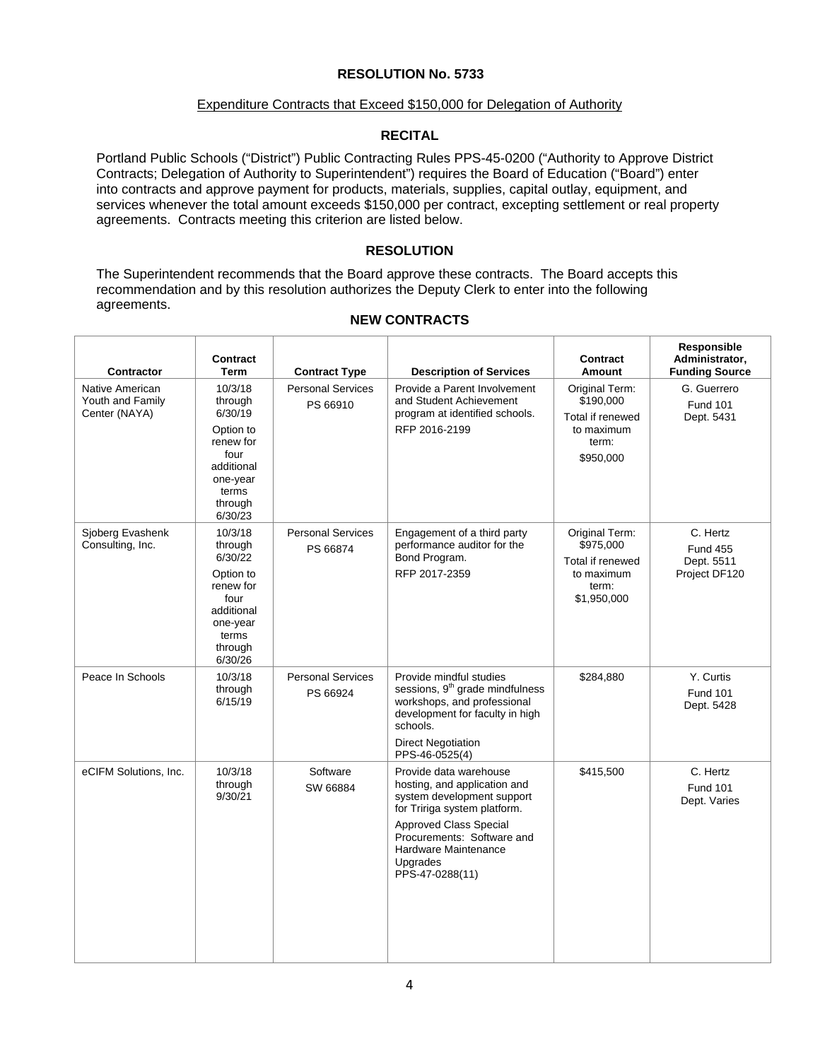#### Expenditure Contracts that Exceed \$150,000 for Delegation of Authority

## **RECITAL**

Portland Public Schools ("District") Public Contracting Rules PPS-45-0200 ("Authority to Approve District Contracts; Delegation of Authority to Superintendent") requires the Board of Education ("Board") enter into contracts and approve payment for products, materials, supplies, capital outlay, equipment, and services whenever the total amount exceeds \$150,000 per contract, excepting settlement or real property agreements. Contracts meeting this criterion are listed below.

## **RESOLUTION**

The Superintendent recommends that the Board approve these contracts. The Board accepts this recommendation and by this resolution authorizes the Deputy Clerk to enter into the following agreements.

## **NEW CONTRACTS**

| <b>Contractor</b>                                    | Contract<br>Term                                                                                                         | <b>Contract Type</b>                 | <b>Description of Services</b>                                                                                                                                                                                                             | Contract<br>Amount                                                                    | Responsible<br>Administrator,<br><b>Funding Source</b>     |
|------------------------------------------------------|--------------------------------------------------------------------------------------------------------------------------|--------------------------------------|--------------------------------------------------------------------------------------------------------------------------------------------------------------------------------------------------------------------------------------------|---------------------------------------------------------------------------------------|------------------------------------------------------------|
| Native American<br>Youth and Family<br>Center (NAYA) | 10/3/18<br>through<br>6/30/19<br>Option to<br>renew for<br>four<br>additional<br>one-year<br>terms<br>through<br>6/30/23 | <b>Personal Services</b><br>PS 66910 | Provide a Parent Involvement<br>and Student Achievement<br>program at identified schools.<br>RFP 2016-2199                                                                                                                                 | Original Term:<br>\$190,000<br>Total if renewed<br>to maximum<br>term:<br>\$950,000   | G. Guerrero<br><b>Fund 101</b><br>Dept. 5431               |
| Sjoberg Evashenk<br>Consulting, Inc.                 | 10/3/18<br>through<br>6/30/22<br>Option to<br>renew for<br>four<br>additional<br>one-year<br>terms<br>through<br>6/30/26 | <b>Personal Services</b><br>PS 66874 | Engagement of a third party<br>performance auditor for the<br>Bond Program.<br>RFP 2017-2359                                                                                                                                               | Original Term:<br>\$975,000<br>Total if renewed<br>to maximum<br>term:<br>\$1,950,000 | C. Hertz<br><b>Fund 455</b><br>Dept. 5511<br>Project DF120 |
| Peace In Schools                                     | 10/3/18<br>through<br>6/15/19                                                                                            | <b>Personal Services</b><br>PS 66924 | Provide mindful studies<br>sessions, 9 <sup>th</sup> grade mindfulness<br>workshops, and professional<br>development for faculty in high<br>schools.<br><b>Direct Negotiation</b><br>PPS-46-0525(4)                                        | \$284,880                                                                             | Y. Curtis<br><b>Fund 101</b><br>Dept. 5428                 |
| eCIFM Solutions, Inc.                                | 10/3/18<br>through<br>9/30/21                                                                                            | Software<br>SW 66884                 | Provide data warehouse<br>hosting, and application and<br>system development support<br>for Tririga system platform.<br><b>Approved Class Special</b><br>Procurements: Software and<br>Hardware Maintenance<br>Upgrades<br>PPS-47-0288(11) | \$415,500                                                                             | C. Hertz<br><b>Fund 101</b><br>Dept. Varies                |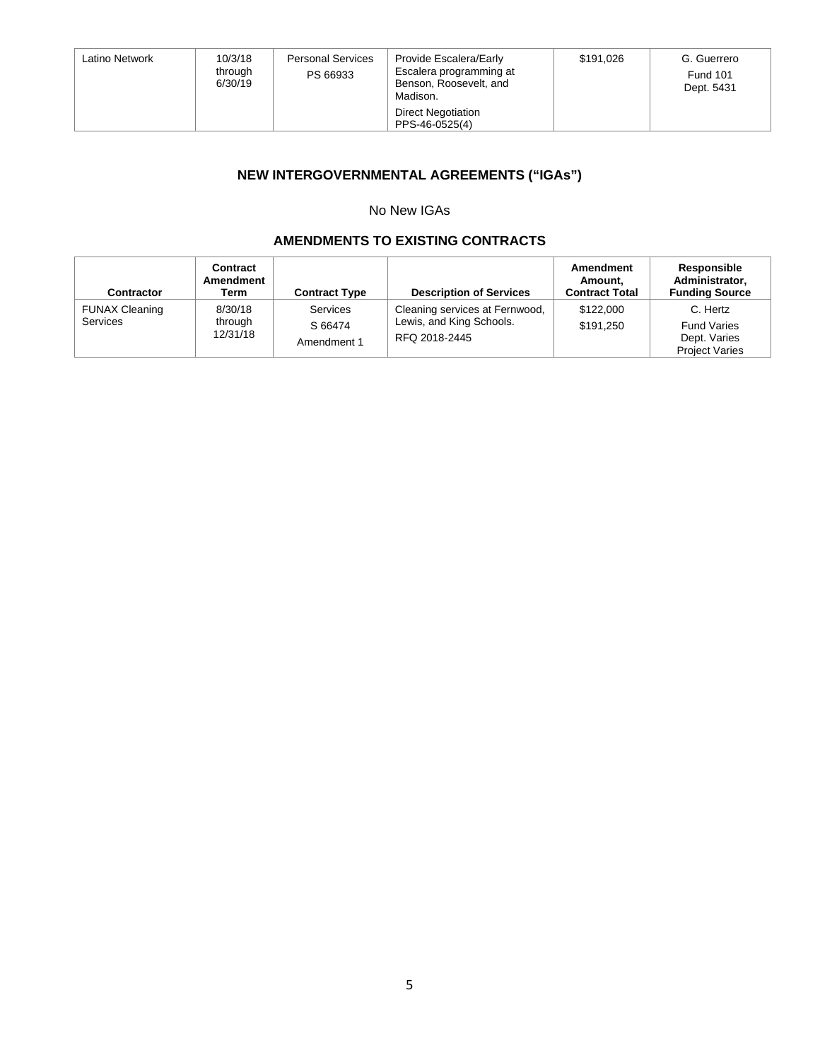| Latino Network | 10/3/18<br>through<br>6/30/19 | <b>Personal Services</b><br>PS 66933 | Provide Escalera/Early<br>Escalera programming at<br>Benson, Roosevelt, and<br>Madison. | \$191,026 | G. Guerrero<br><b>Fund 101</b><br>Dept. 5431 |
|----------------|-------------------------------|--------------------------------------|-----------------------------------------------------------------------------------------|-----------|----------------------------------------------|
|                |                               |                                      | <b>Direct Negotiation</b><br>PPS-46-0525(4)                                             |           |                                              |

# **NEW INTERGOVERNMENTAL AGREEMENTS ("IGAs")**

## No New IGAs

## **AMENDMENTS TO EXISTING CONTRACTS**

| Contractor                               | Contract<br>Amendment<br>Term  | <b>Contract Type</b>                      | <b>Description of Services</b>                                              | Amendment<br>Amount.<br><b>Contract Total</b> | Responsible<br>Administrator,<br><b>Funding Source</b>                  |
|------------------------------------------|--------------------------------|-------------------------------------------|-----------------------------------------------------------------------------|-----------------------------------------------|-------------------------------------------------------------------------|
| <b>FUNAX Cleaning</b><br><b>Services</b> | 8/30/18<br>through<br>12/31/18 | <b>Services</b><br>S 66474<br>Amendment 1 | Cleaning services at Fernwood,<br>Lewis, and King Schools.<br>RFQ 2018-2445 | \$122,000<br>\$191.250                        | C. Hertz<br><b>Fund Varies</b><br>Dept. Varies<br><b>Project Varies</b> |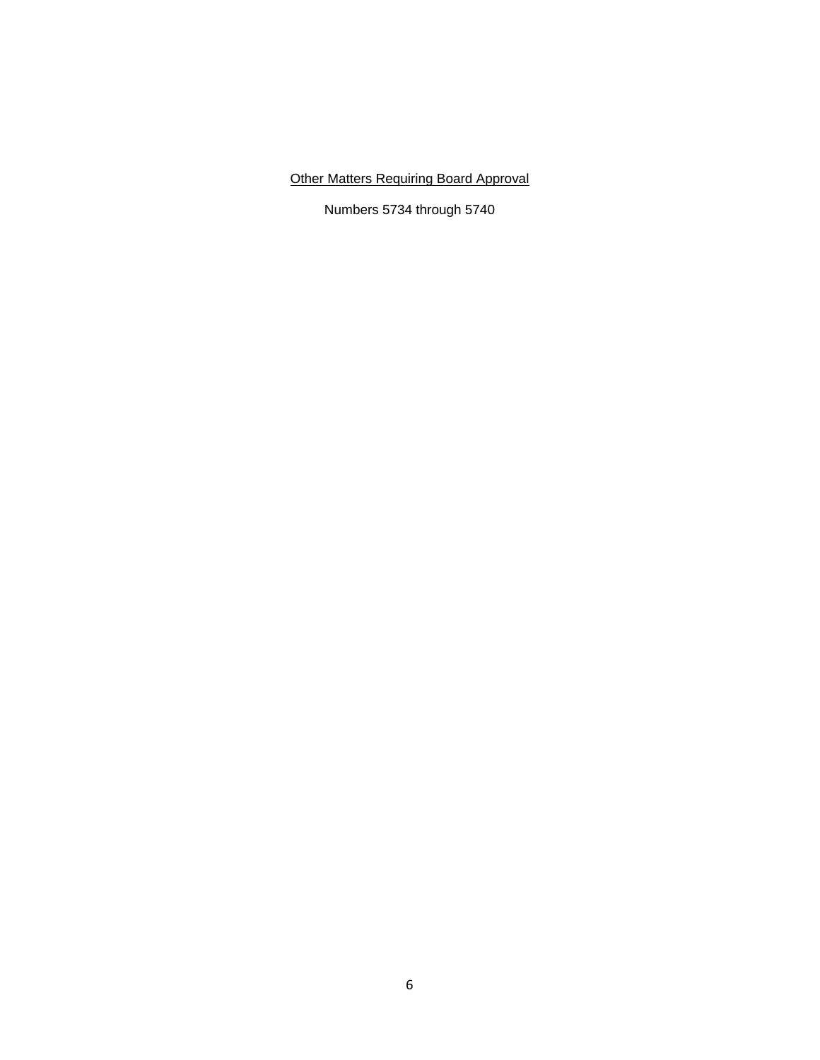# Other Matters Requiring Board Approval

Numbers 5734 through 5740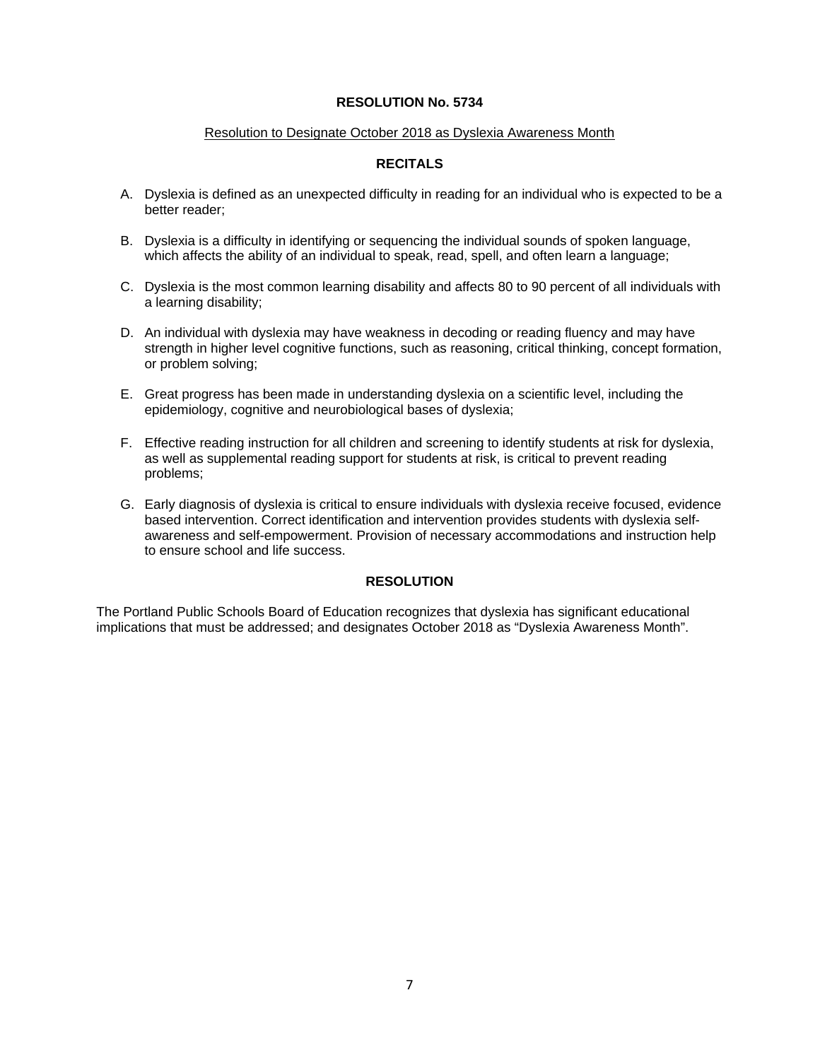#### Resolution to Designate October 2018 as Dyslexia Awareness Month

## **RECITALS**

- A. Dyslexia is defined as an unexpected difficulty in reading for an individual who is expected to be a better reader;
- B. Dyslexia is a difficulty in identifying or sequencing the individual sounds of spoken language, which affects the ability of an individual to speak, read, spell, and often learn a language;
- C. Dyslexia is the most common learning disability and affects 80 to 90 percent of all individuals with a learning disability;
- D. An individual with dyslexia may have weakness in decoding or reading fluency and may have strength in higher level cognitive functions, such as reasoning, critical thinking, concept formation, or problem solving;
- E. Great progress has been made in understanding dyslexia on a scientific level, including the epidemiology, cognitive and neurobiological bases of dyslexia;
- F. Effective reading instruction for all children and screening to identify students at risk for dyslexia, as well as supplemental reading support for students at risk, is critical to prevent reading problems;
- G. Early diagnosis of dyslexia is critical to ensure individuals with dyslexia receive focused, evidence based intervention. Correct identification and intervention provides students with dyslexia selfawareness and self-empowerment. Provision of necessary accommodations and instruction help to ensure school and life success.

## **RESOLUTION**

The Portland Public Schools Board of Education recognizes that dyslexia has significant educational implications that must be addressed; and designates October 2018 as "Dyslexia Awareness Month".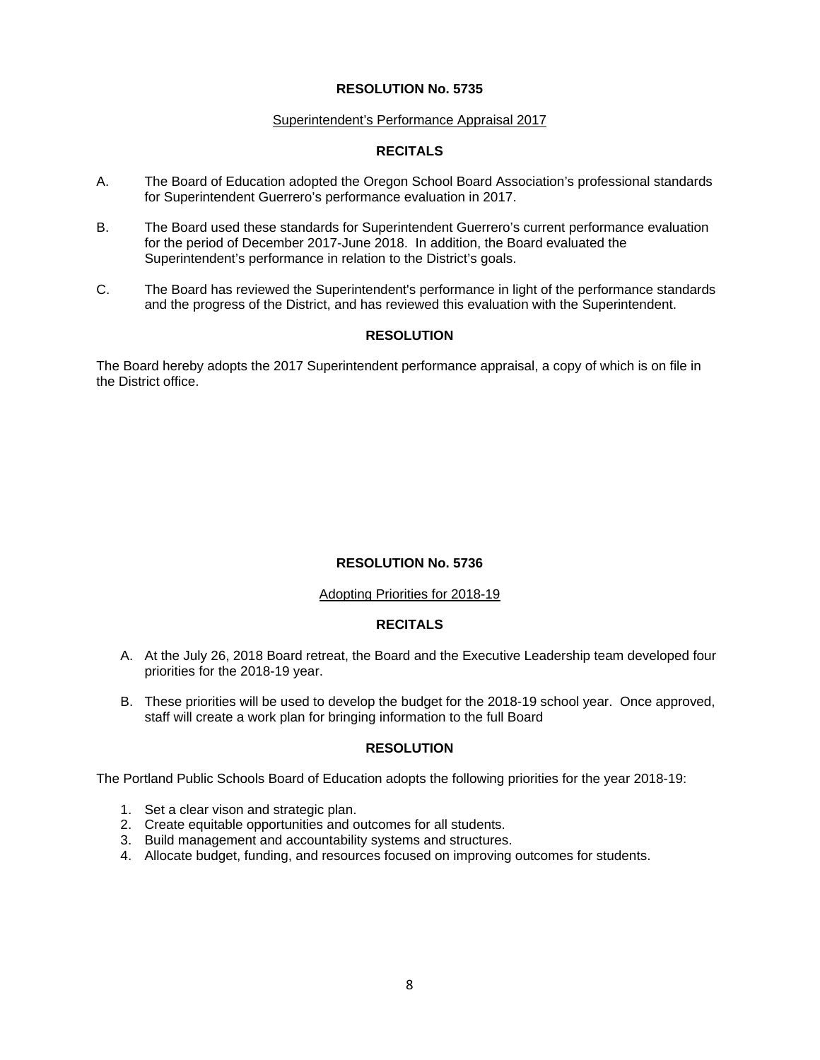#### Superintendent's Performance Appraisal 2017

## **RECITALS**

- A. The Board of Education adopted the Oregon School Board Association's professional standards for Superintendent Guerrero's performance evaluation in 2017.
- B. The Board used these standards for Superintendent Guerrero's current performance evaluation for the period of December 2017-June 2018. In addition, the Board evaluated the Superintendent's performance in relation to the District's goals.
- C. The Board has reviewed the Superintendent's performance in light of the performance standards and the progress of the District, and has reviewed this evaluation with the Superintendent.

## **RESOLUTION**

The Board hereby adopts the 2017 Superintendent performance appraisal, a copy of which is on file in the District office.

## **RESOLUTION No. 5736**

## Adopting Priorities for 2018-19

## **RECITALS**

- A. At the July 26, 2018 Board retreat, the Board and the Executive Leadership team developed four priorities for the 2018-19 year.
- B. These priorities will be used to develop the budget for the 2018-19 school year. Once approved, staff will create a work plan for bringing information to the full Board

#### **RESOLUTION**

The Portland Public Schools Board of Education adopts the following priorities for the year 2018-19:

- 1. Set a clear vison and strategic plan.
- 2. Create equitable opportunities and outcomes for all students.
- 3. Build management and accountability systems and structures.
- 4. Allocate budget, funding, and resources focused on improving outcomes for students.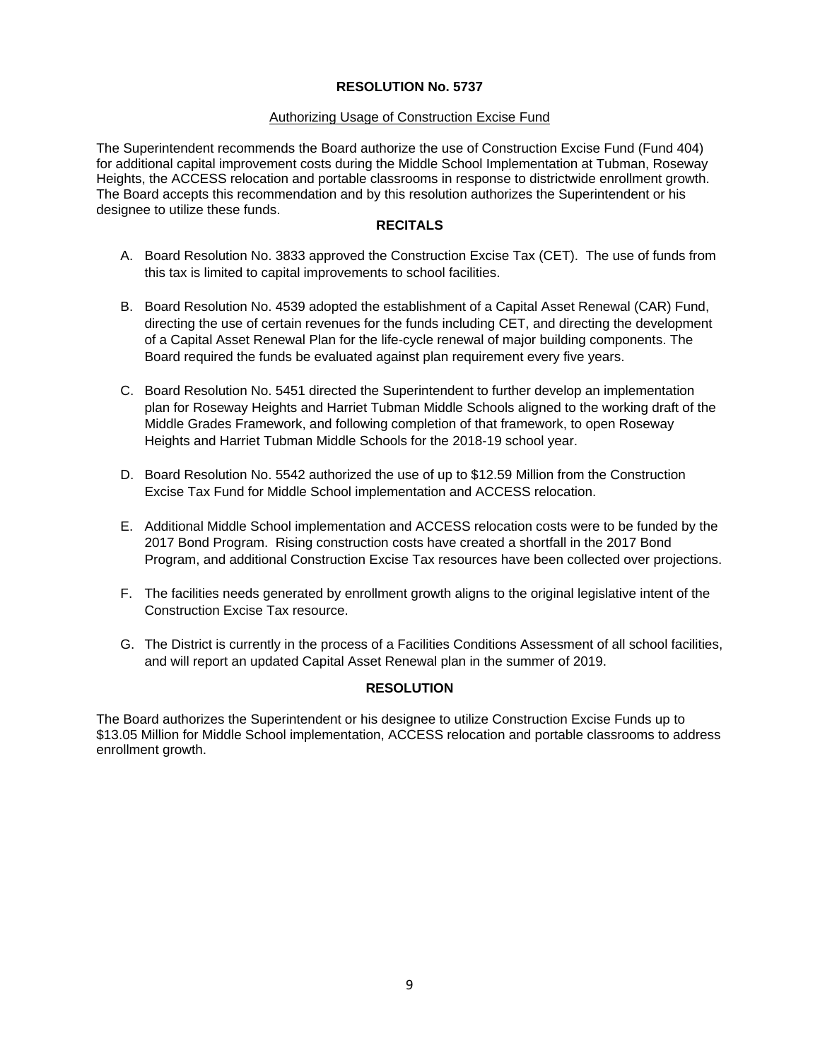#### Authorizing Usage of Construction Excise Fund

The Superintendent recommends the Board authorize the use of Construction Excise Fund (Fund 404) for additional capital improvement costs during the Middle School Implementation at Tubman, Roseway Heights, the ACCESS relocation and portable classrooms in response to districtwide enrollment growth. The Board accepts this recommendation and by this resolution authorizes the Superintendent or his designee to utilize these funds.

## **RECITALS**

- A. Board Resolution No. 3833 approved the Construction Excise Tax (CET). The use of funds from this tax is limited to capital improvements to school facilities.
- B. Board Resolution No. 4539 adopted the establishment of a Capital Asset Renewal (CAR) Fund, directing the use of certain revenues for the funds including CET, and directing the development of a Capital Asset Renewal Plan for the life-cycle renewal of major building components. The Board required the funds be evaluated against plan requirement every five years.
- C. Board Resolution No. 5451 directed the Superintendent to further develop an implementation plan for Roseway Heights and Harriet Tubman Middle Schools aligned to the working draft of the Middle Grades Framework, and following completion of that framework, to open Roseway Heights and Harriet Tubman Middle Schools for the 2018-19 school year.
- D. Board Resolution No. 5542 authorized the use of up to \$12.59 Million from the Construction Excise Tax Fund for Middle School implementation and ACCESS relocation.
- E. Additional Middle School implementation and ACCESS relocation costs were to be funded by the 2017 Bond Program. Rising construction costs have created a shortfall in the 2017 Bond Program, and additional Construction Excise Tax resources have been collected over projections.
- F. The facilities needs generated by enrollment growth aligns to the original legislative intent of the Construction Excise Tax resource.
- G. The District is currently in the process of a Facilities Conditions Assessment of all school facilities, and will report an updated Capital Asset Renewal plan in the summer of 2019.

## **RESOLUTION**

The Board authorizes the Superintendent or his designee to utilize Construction Excise Funds up to \$13.05 Million for Middle School implementation, ACCESS relocation and portable classrooms to address enrollment growth.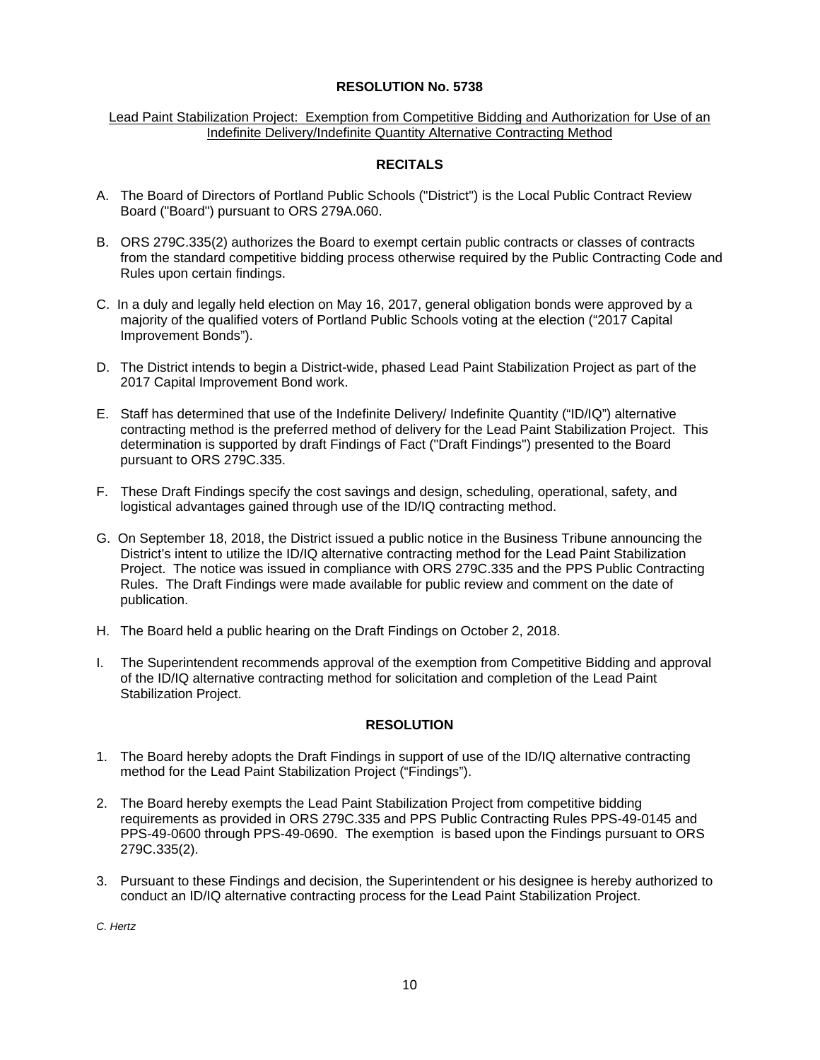#### Lead Paint Stabilization Project: Exemption from Competitive Bidding and Authorization for Use of an Indefinite Delivery/Indefinite Quantity Alternative Contracting Method

## **RECITALS**

- A. The Board of Directors of Portland Public Schools ("District") is the Local Public Contract Review Board ("Board") pursuant to ORS 279A.060.
- B. ORS 279C.335(2) authorizes the Board to exempt certain public contracts or classes of contracts from the standard competitive bidding process otherwise required by the Public Contracting Code and Rules upon certain findings.
- C. In a duly and legally held election on May 16, 2017, general obligation bonds were approved by a majority of the qualified voters of Portland Public Schools voting at the election ("2017 Capital Improvement Bonds").
- D. The District intends to begin a District-wide, phased Lead Paint Stabilization Project as part of the 2017 Capital Improvement Bond work.
- E. Staff has determined that use of the Indefinite Delivery/ Indefinite Quantity ("ID/IQ") alternative contracting method is the preferred method of delivery for the Lead Paint Stabilization Project. This determination is supported by draft Findings of Fact ("Draft Findings") presented to the Board pursuant to ORS 279C.335.
- F. These Draft Findings specify the cost savings and design, scheduling, operational, safety, and logistical advantages gained through use of the ID/IQ contracting method.
- G. On September 18, 2018, the District issued a public notice in the Business Tribune announcing the District's intent to utilize the ID/IQ alternative contracting method for the Lead Paint Stabilization Project. The notice was issued in compliance with ORS 279C.335 and the PPS Public Contracting Rules. The Draft Findings were made available for public review and comment on the date of publication.
- H. The Board held a public hearing on the Draft Findings on October 2, 2018.
- I. The Superintendent recommends approval of the exemption from Competitive Bidding and approval of the ID/IQ alternative contracting method for solicitation and completion of the Lead Paint Stabilization Project.

## **RESOLUTION**

- 1. The Board hereby adopts the Draft Findings in support of use of the ID/IQ alternative contracting method for the Lead Paint Stabilization Project ("Findings").
- 2. The Board hereby exempts the Lead Paint Stabilization Project from competitive bidding requirements as provided in ORS 279C.335 and PPS Public Contracting Rules PPS-49-0145 and PPS-49-0600 through PPS-49-0690. The exemption is based upon the Findings pursuant to ORS 279C.335(2).
- 3. Pursuant to these Findings and decision, the Superintendent or his designee is hereby authorized to conduct an ID/IQ alternative contracting process for the Lead Paint Stabilization Project.

*C. Hertz*